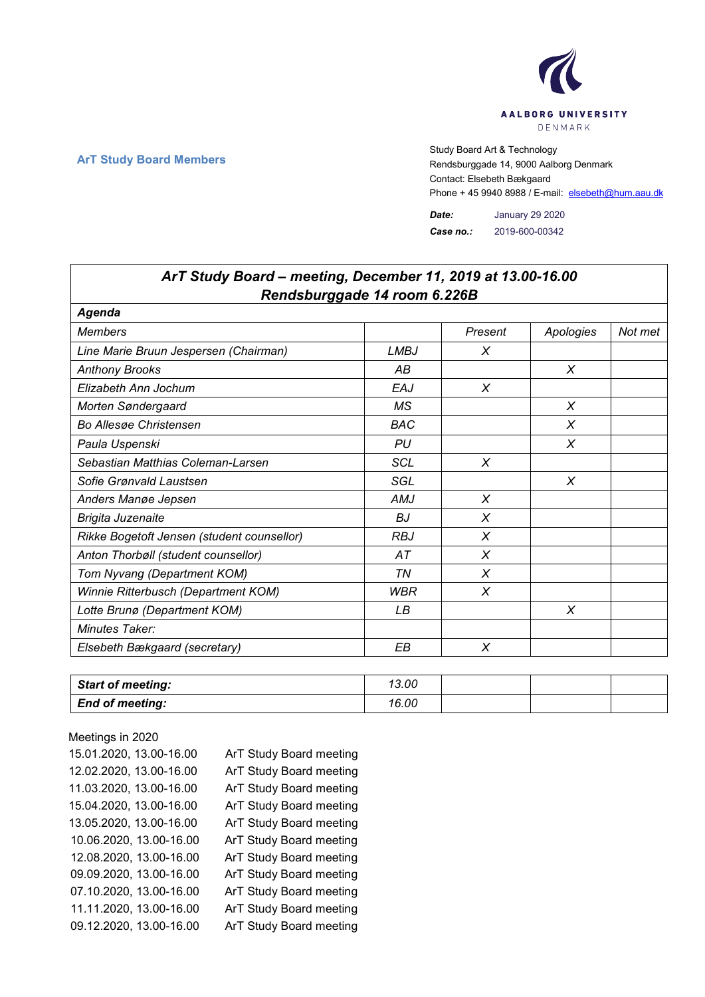

٦

## **ArT Study Board Members** Study Board Art & Technology<br>Rendsburggade 14, 9000 Aalb Rendsburggade 14, 9000 Aalborg Denmark Contact: Elsebeth Bækgaard Phone + 45 9940 8988 / E-mail: elsebeth@hum.aau.dk

*Date:* January 29 2020 *Case no.:* 2019-600-00342

| ArT Study Board – meeting, December 11, 2019 at 13.00-16.00 |             |         |           |         |
|-------------------------------------------------------------|-------------|---------|-----------|---------|
| Rendsburggade 14 room 6.226B                                |             |         |           |         |
| Agenda                                                      |             |         |           |         |
| <b>Members</b>                                              |             | Present | Apologies | Not met |
| Line Marie Bruun Jespersen (Chairman)                       | <b>LMBJ</b> | Χ       |           |         |
| <b>Anthony Brooks</b>                                       | АB          |         | X         |         |
| Elizabeth Ann Jochum                                        | EAJ         | X       |           |         |
| Morten Søndergaard                                          | <b>MS</b>   |         | X         |         |
| <b>Bo Allesge Christensen</b>                               | <b>BAC</b>  |         | X         |         |
| Paula Uspenski                                              | PU          |         | X         |         |
| Sebastian Matthias Coleman-Larsen                           | <b>SCL</b>  | X       |           |         |
| Sofie Grønvald Laustsen                                     | SGL         |         | X         |         |
| Anders Manøe Jepsen                                         | AMJ         | X       |           |         |
| <b>Brigita Juzenaite</b>                                    | ВJ          | X       |           |         |
| Rikke Bogetoft Jensen (student counsellor)                  | RBJ         | Χ       |           |         |
| Anton Thorbøll (student counsellor)                         | АT          | X       |           |         |
| Tom Nyvang (Department KOM)                                 | ΤN          | X       |           |         |
| Winnie Ritterbusch (Department KOM)                         | <b>WBR</b>  | X       |           |         |
| Lotte Brunø (Department KOM)                                | LВ          |         | X         |         |
| Minutes Taker:                                              |             |         |           |         |
| Elsebeth Bækgaard (secretary)                               | EВ          | Χ       |           |         |

| <b>Start of meeting:</b> | 13.00 |  |  |
|--------------------------|-------|--|--|
| <b>End of meeting:</b>   | 16.00 |  |  |

| 15.01.2020, 13.00-16.00 | ArT Study Board meeting |
|-------------------------|-------------------------|
| 12.02.2020, 13.00-16.00 | ArT Study Board meeting |
| 11.03.2020, 13.00-16.00 | ArT Study Board meeting |
| 15.04.2020, 13.00-16.00 | ArT Study Board meeting |
| 13.05.2020, 13.00-16.00 | ArT Study Board meeting |
| 10.06.2020, 13.00-16.00 | ArT Study Board meeting |
| 12.08.2020, 13.00-16.00 | ArT Study Board meeting |
| 09.09.2020, 13.00-16.00 | ArT Study Board meeting |
| 07.10.2020, 13.00-16.00 | ArT Study Board meeting |
| 11.11.2020, 13.00-16.00 | ArT Study Board meeting |
| 09.12.2020, 13.00-16.00 | ArT Study Board meeting |

## *ArT Study Board – meeting, December 11, 2019 at 13.00-16.00*

Meetings in 2020

 $\Gamma$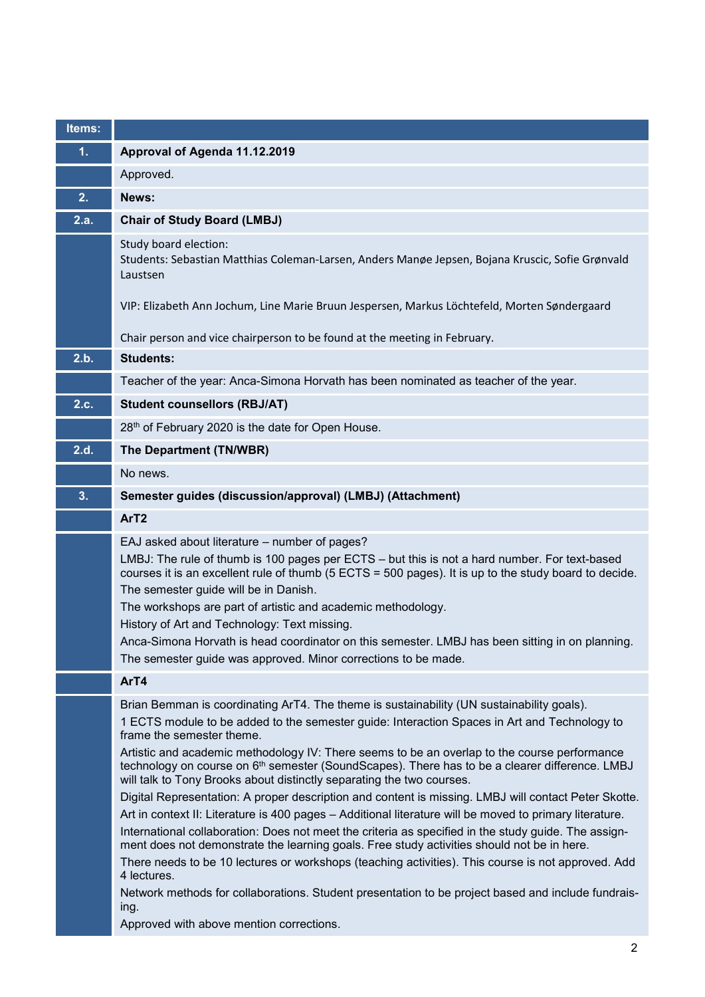| Items: |                                                                                                                                                                                                                                                                                                                                                                                                                                                                                                                                                                                       |
|--------|---------------------------------------------------------------------------------------------------------------------------------------------------------------------------------------------------------------------------------------------------------------------------------------------------------------------------------------------------------------------------------------------------------------------------------------------------------------------------------------------------------------------------------------------------------------------------------------|
| 1.     | Approval of Agenda 11.12.2019                                                                                                                                                                                                                                                                                                                                                                                                                                                                                                                                                         |
|        | Approved.                                                                                                                                                                                                                                                                                                                                                                                                                                                                                                                                                                             |
| 2.     | News:                                                                                                                                                                                                                                                                                                                                                                                                                                                                                                                                                                                 |
| 2.a.   | <b>Chair of Study Board (LMBJ)</b>                                                                                                                                                                                                                                                                                                                                                                                                                                                                                                                                                    |
|        | Study board election:<br>Students: Sebastian Matthias Coleman-Larsen, Anders Manøe Jepsen, Bojana Kruscic, Sofie Grønvald<br>Laustsen                                                                                                                                                                                                                                                                                                                                                                                                                                                 |
|        | VIP: Elizabeth Ann Jochum, Line Marie Bruun Jespersen, Markus Löchtefeld, Morten Søndergaard                                                                                                                                                                                                                                                                                                                                                                                                                                                                                          |
|        | Chair person and vice chairperson to be found at the meeting in February.                                                                                                                                                                                                                                                                                                                                                                                                                                                                                                             |
| 2.b.   | <b>Students:</b>                                                                                                                                                                                                                                                                                                                                                                                                                                                                                                                                                                      |
|        | Teacher of the year: Anca-Simona Horvath has been nominated as teacher of the year.                                                                                                                                                                                                                                                                                                                                                                                                                                                                                                   |
| 2.c.   | <b>Student counsellors (RBJ/AT)</b>                                                                                                                                                                                                                                                                                                                                                                                                                                                                                                                                                   |
|        | 28th of February 2020 is the date for Open House.                                                                                                                                                                                                                                                                                                                                                                                                                                                                                                                                     |
| 2.d.   | The Department (TN/WBR)                                                                                                                                                                                                                                                                                                                                                                                                                                                                                                                                                               |
|        | No news.                                                                                                                                                                                                                                                                                                                                                                                                                                                                                                                                                                              |
| 3.     | Semester guides (discussion/approval) (LMBJ) (Attachment)                                                                                                                                                                                                                                                                                                                                                                                                                                                                                                                             |
|        | ArT <sub>2</sub>                                                                                                                                                                                                                                                                                                                                                                                                                                                                                                                                                                      |
|        | EAJ asked about literature - number of pages?<br>LMBJ: The rule of thumb is 100 pages per ECTS - but this is not a hard number. For text-based<br>courses it is an excellent rule of thumb (5 ECTS = 500 pages). It is up to the study board to decide.<br>The semester guide will be in Danish.<br>The workshops are part of artistic and academic methodology.<br>History of Art and Technology: Text missing.<br>Anca-Simona Horvath is head coordinator on this semester. LMBJ has been sitting in on planning.<br>The semester guide was approved. Minor corrections to be made. |
|        | ArT4                                                                                                                                                                                                                                                                                                                                                                                                                                                                                                                                                                                  |
|        | Brian Bemman is coordinating ArT4. The theme is sustainability (UN sustainability goals).<br>1 ECTS module to be added to the semester guide: Interaction Spaces in Art and Technology to<br>frame the semester theme.<br>Artistic and academic methodology IV: There seems to be an overlap to the course performance<br>technology on course on 6 <sup>th</sup> semester (SoundScapes). There has to be a clearer difference. LMBJ<br>will talk to Tony Brooks about distinctly separating the two courses.                                                                         |
|        | Digital Representation: A proper description and content is missing. LMBJ will contact Peter Skotte.<br>Art in context II: Literature is 400 pages - Additional literature will be moved to primary literature.                                                                                                                                                                                                                                                                                                                                                                       |
|        | International collaboration: Does not meet the criteria as specified in the study guide. The assign-<br>ment does not demonstrate the learning goals. Free study activities should not be in here.                                                                                                                                                                                                                                                                                                                                                                                    |
|        | There needs to be 10 lectures or workshops (teaching activities). This course is not approved. Add<br>4 lectures.                                                                                                                                                                                                                                                                                                                                                                                                                                                                     |
|        | Network methods for collaborations. Student presentation to be project based and include fundrais-<br>ing.<br>Approved with above mention corrections.                                                                                                                                                                                                                                                                                                                                                                                                                                |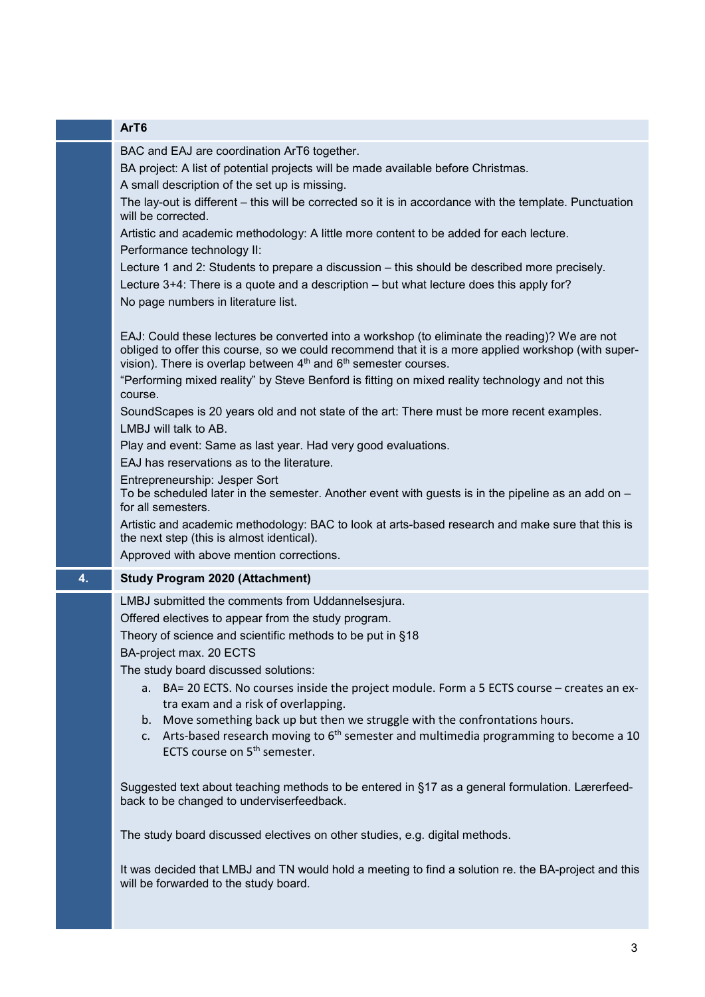|    | ArT6                                                                                                                                                                                                                                                                                            |
|----|-------------------------------------------------------------------------------------------------------------------------------------------------------------------------------------------------------------------------------------------------------------------------------------------------|
|    | BAC and EAJ are coordination ArT6 together.<br>BA project: A list of potential projects will be made available before Christmas.<br>A small description of the set up is missing.                                                                                                               |
|    | The lay-out is different – this will be corrected so it is in accordance with the template. Punctuation<br>will be corrected.                                                                                                                                                                   |
|    | Artistic and academic methodology: A little more content to be added for each lecture.<br>Performance technology II:                                                                                                                                                                            |
|    | Lecture 1 and 2: Students to prepare a discussion – this should be described more precisely.<br>Lecture 3+4: There is a quote and a description – but what lecture does this apply for?                                                                                                         |
|    | No page numbers in literature list.                                                                                                                                                                                                                                                             |
|    | EAJ: Could these lectures be converted into a workshop (to eliminate the reading)? We are not<br>obliged to offer this course, so we could recommend that it is a more applied workshop (with super-<br>vision). There is overlap between 4 <sup>th</sup> and 6 <sup>th</sup> semester courses. |
|    | "Performing mixed reality" by Steve Benford is fitting on mixed reality technology and not this<br>course.                                                                                                                                                                                      |
|    | SoundScapes is 20 years old and not state of the art: There must be more recent examples.<br>LMBJ will talk to AB.                                                                                                                                                                              |
|    | Play and event: Same as last year. Had very good evaluations.                                                                                                                                                                                                                                   |
|    | EAJ has reservations as to the literature.                                                                                                                                                                                                                                                      |
|    | Entrepreneurship: Jesper Sort<br>To be scheduled later in the semester. Another event with guests is in the pipeline as an add on -<br>for all semesters.                                                                                                                                       |
|    | Artistic and academic methodology: BAC to look at arts-based research and make sure that this is<br>the next step (this is almost identical).<br>Approved with above mention corrections.                                                                                                       |
|    |                                                                                                                                                                                                                                                                                                 |
| 4. | <b>Study Program 2020 (Attachment)</b>                                                                                                                                                                                                                                                          |
|    | LMBJ submitted the comments from Uddannelsesjura.                                                                                                                                                                                                                                               |
|    | Offered electives to appear from the study program.<br>Theory of science and scientific methods to be put in §18                                                                                                                                                                                |
|    | BA-project max. 20 ECTS                                                                                                                                                                                                                                                                         |
|    | The study board discussed solutions:                                                                                                                                                                                                                                                            |
|    | a. BA= 20 ECTS. No courses inside the project module. Form a 5 ECTS course – creates an ex-<br>tra exam and a risk of overlapping.                                                                                                                                                              |
|    | b. Move something back up but then we struggle with the confrontations hours.                                                                                                                                                                                                                   |
|    | Arts-based research moving to 6 <sup>th</sup> semester and multimedia programming to become a 10<br>C.<br>ECTS course on 5 <sup>th</sup> semester.                                                                                                                                              |
|    | Suggested text about teaching methods to be entered in §17 as a general formulation. Lærerfeed-<br>back to be changed to underviserfeedback.                                                                                                                                                    |
|    | The study board discussed electives on other studies, e.g. digital methods.                                                                                                                                                                                                                     |
|    | It was decided that LMBJ and TN would hold a meeting to find a solution re. the BA-project and this<br>will be forwarded to the study board.                                                                                                                                                    |